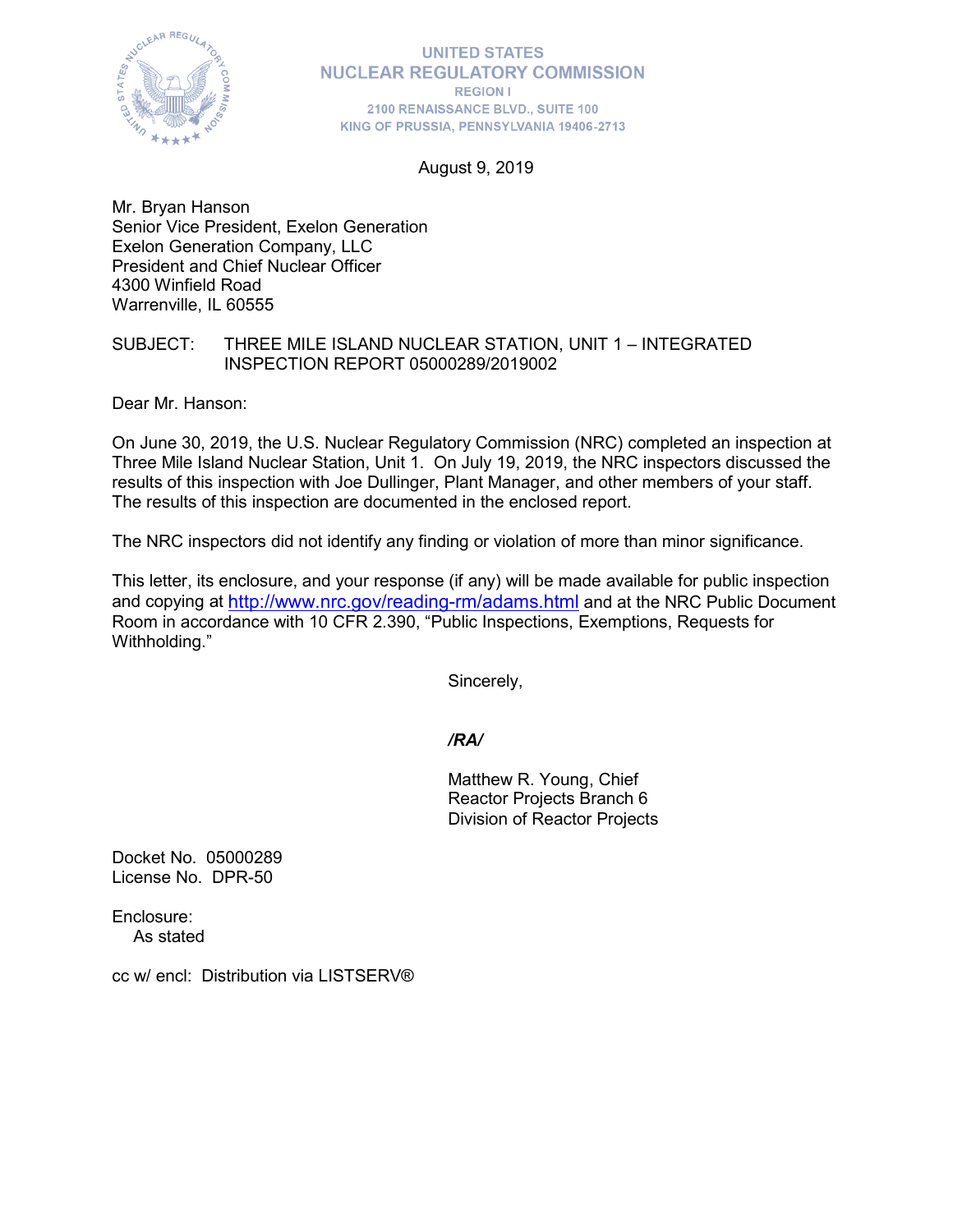

August 9, 2019

Mr. Bryan Hanson Senior Vice President, Exelon Generation Exelon Generation Company, LLC President and Chief Nuclear Officer 4300 Winfield Road Warrenville, IL 60555

## SUBJECT: THREE MILE ISLAND NUCLEAR STATION, UNIT 1 – INTEGRATED INSPECTION REPORT 05000289/2019002

Dear Mr. Hanson:

On June 30, 2019, the U.S. Nuclear Regulatory Commission (NRC) completed an inspection at Three Mile Island Nuclear Station, Unit 1. On July 19, 2019, the NRC inspectors discussed the results of this inspection with Joe Dullinger, Plant Manager, and other members of your staff. The results of this inspection are documented in the enclosed report.

The NRC inspectors did not identify any finding or violation of more than minor significance.

This letter, its enclosure, and your response (if any) will be made available for public inspection and copying at<http://www.nrc.gov/reading-rm/adams.html> and at the NRC Public Document Room in accordance with 10 CFR 2.390, "Public Inspections, Exemptions, Requests for Withholding."

Sincerely,

# */RA/*

Matthew R. Young, Chief Reactor Projects Branch 6 Division of Reactor Projects

Docket No. 05000289 License No. DPR-50

Enclosure: As stated

cc w/ encl: Distribution via LISTSERV®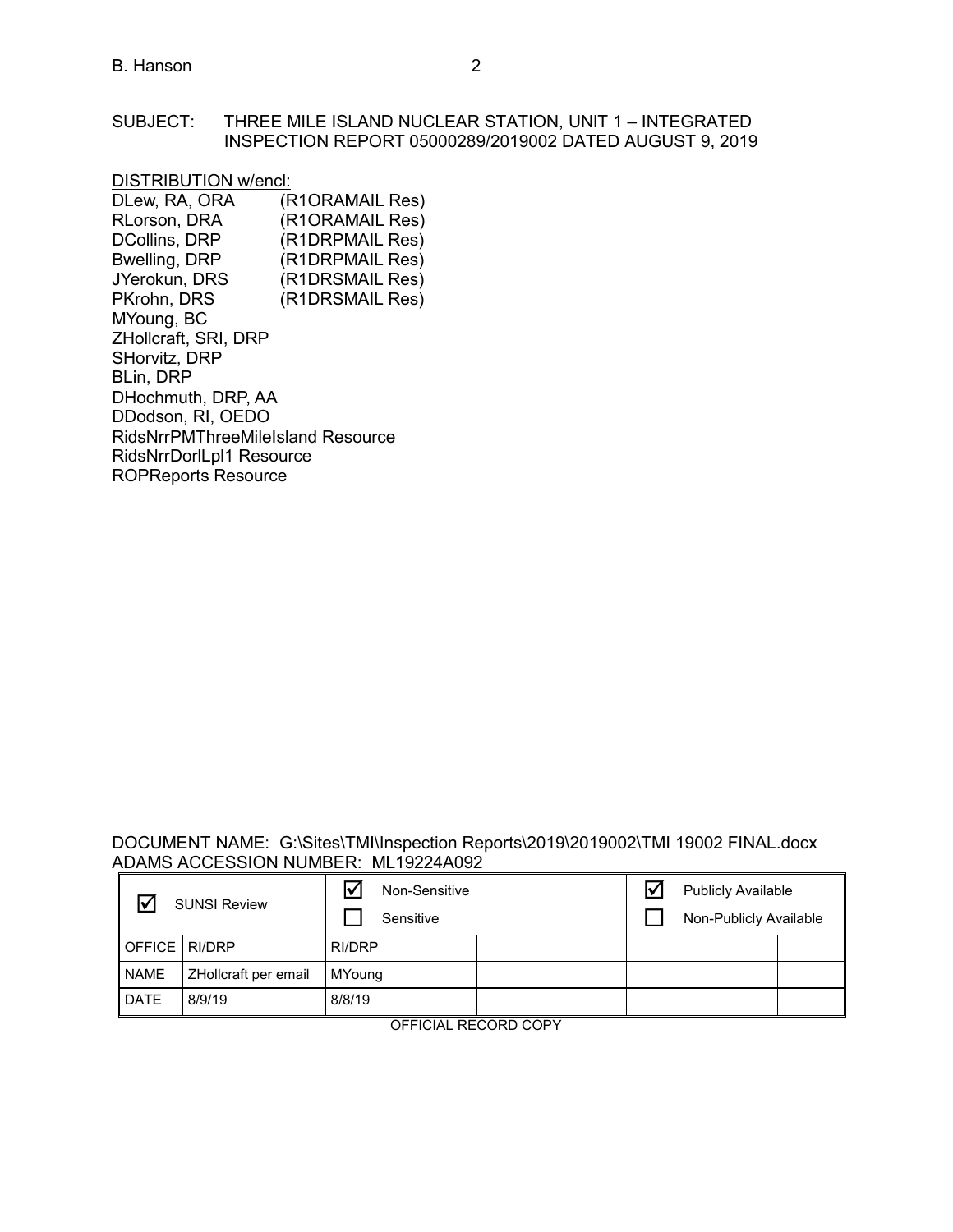#### SUBJECT: THREE MILE ISLAND NUCLEAR STATION, UNIT 1 – INTEGRATED INSPECTION REPORT 05000289/2019002 DATED AUGUST 9, 2019

# DISTRIBUTION w/encl:<br>DLew, RA, ORA (F

(R1ORAMAIL Res) RLorson, DRA (R1ORAMAIL Res)<br>DCollins, DRP (R1DRPMAIL Res) (R1DRPMAIL Res) Bwelling, DRP (R1DRPMAIL Res)<br>JYerokun, DRS (R1DRSMAIL Res) JYerokun, DRS (R1DRSMAIL Res)<br>PKrohn, DRS (R1DRSMAIL Res) (R1DRSMAIL Res) MYoung, BC ZHollcraft, SRI, DRP SHorvitz, DRP BLin, DRP DHochmuth, DRP, AA DDodson, RI, OEDO RidsNrrPMThreeMileIsland Resource RidsNrrDorlLpl1 Resource ROPReports Resource

#### DOCUMENT NAME: G:\Sites\TMI\Inspection Reports\2019\2019002\TMI 19002 FINAL.docx ADAMS ACCESSION NUMBER: ML19224A092

| <b>SUNSI Review</b>  |                      | ☑<br>Non-Sensitive<br>Sensitive |  | <b>Publicly Available</b><br>Non-Publicly Available |  |
|----------------------|----------------------|---------------------------------|--|-----------------------------------------------------|--|
| <b>OFFICE RI/DRP</b> |                      | RI/DRP                          |  |                                                     |  |
| <b>NAME</b>          | ZHollcraft per email | MYoung                          |  |                                                     |  |
| <b>DATE</b>          | 8/9/19               | 8/8/19                          |  |                                                     |  |

OFFICIAL RECORD COPY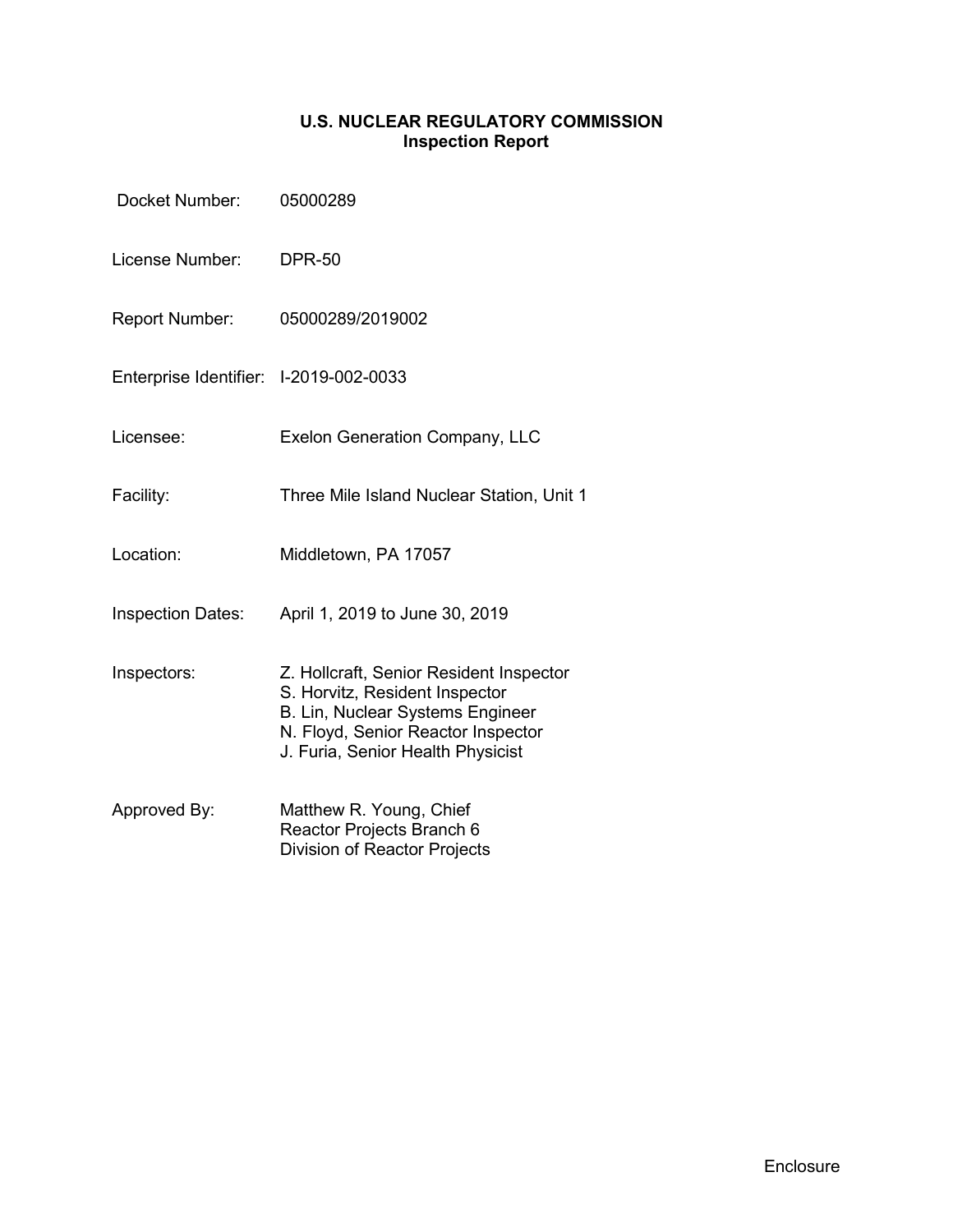# **U.S. NUCLEAR REGULATORY COMMISSION Inspection Report**

| Docket Number:                         | 05000289                                                                                                                                                                                 |
|----------------------------------------|------------------------------------------------------------------------------------------------------------------------------------------------------------------------------------------|
| License Number:                        | <b>DPR-50</b>                                                                                                                                                                            |
| Report Number:                         | 05000289/2019002                                                                                                                                                                         |
| Enterprise Identifier: I-2019-002-0033 |                                                                                                                                                                                          |
| Licensee:                              | <b>Exelon Generation Company, LLC</b>                                                                                                                                                    |
| Facility:                              | Three Mile Island Nuclear Station, Unit 1                                                                                                                                                |
| Location:                              | Middletown, PA 17057                                                                                                                                                                     |
| <b>Inspection Dates:</b>               | April 1, 2019 to June 30, 2019                                                                                                                                                           |
| Inspectors:                            | Z. Hollcraft, Senior Resident Inspector<br>S. Horvitz, Resident Inspector<br>B. Lin, Nuclear Systems Engineer<br>N. Floyd, Senior Reactor Inspector<br>J. Furia, Senior Health Physicist |
| Approved By:                           | Matthew R. Young, Chief<br>Reactor Projects Branch 6<br>Division of Reactor Projects                                                                                                     |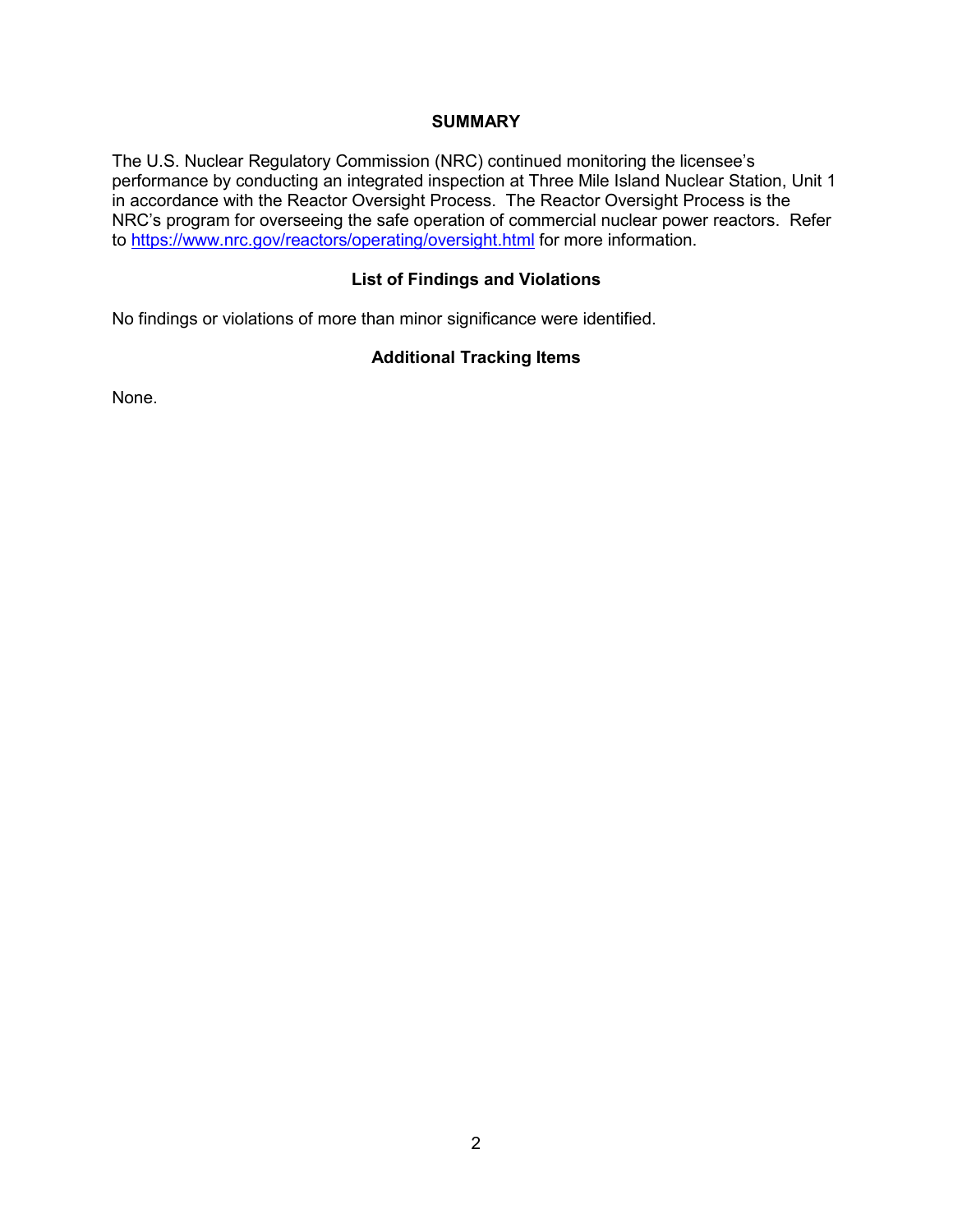## **SUMMARY**

The U.S. Nuclear Regulatory Commission (NRC) continued monitoring the licensee's performance by conducting an integrated inspection at Three Mile Island Nuclear Station, Unit 1 in accordance with the Reactor Oversight Process. The Reactor Oversight Process is the NRC's program for overseeing the safe operation of commercial nuclear power reactors. Refer to<https://www.nrc.gov/reactors/operating/oversight.html> for more information.

# **List of Findings and Violations**

No findings or violations of more than minor significance were identified.

# **Additional Tracking Items**

None.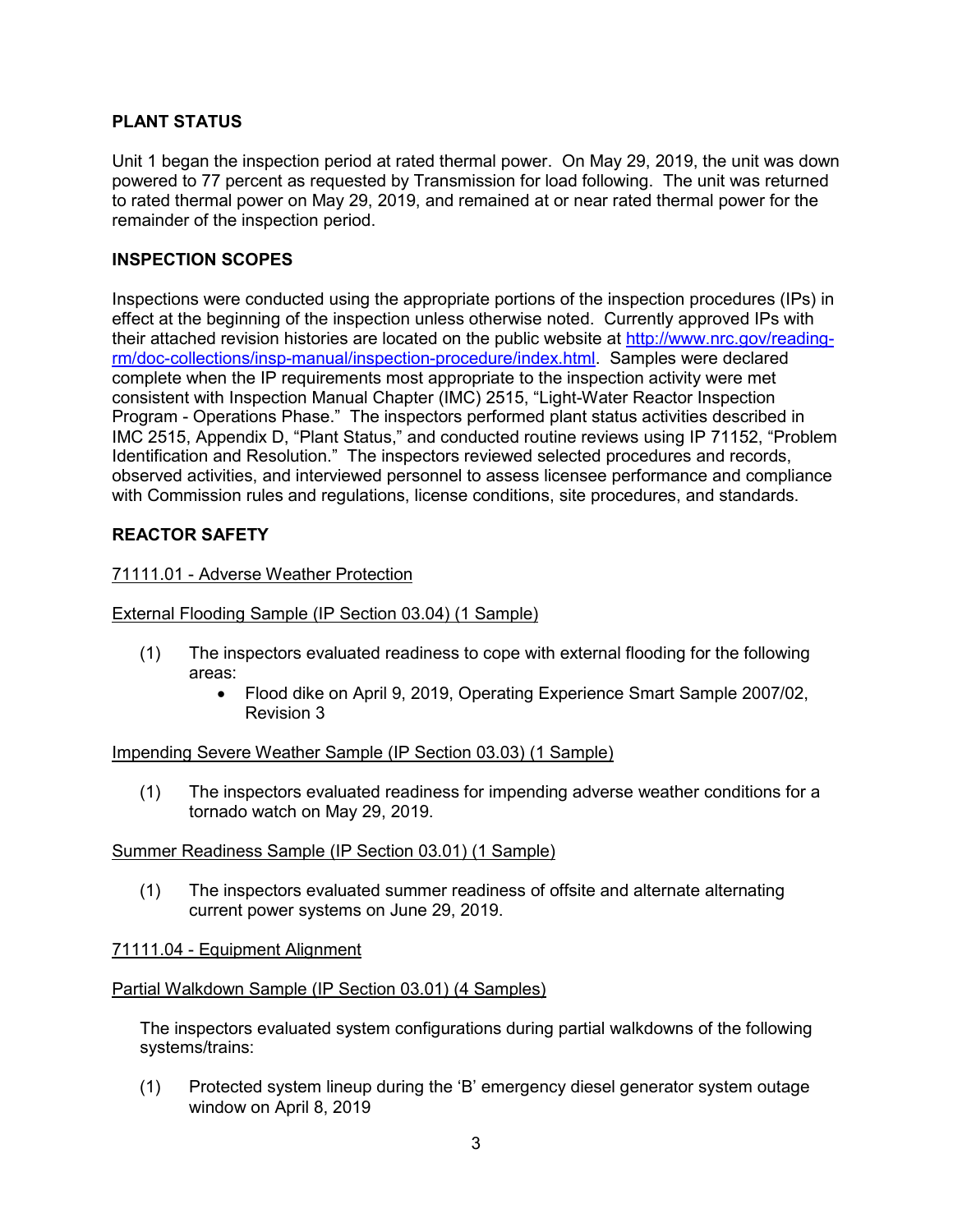# **PLANT STATUS**

Unit 1 began the inspection period at rated thermal power. On May 29, 2019, the unit was down powered to 77 percent as requested by Transmission for load following. The unit was returned to rated thermal power on May 29, 2019, and remained at or near rated thermal power for the remainder of the inspection period.

# **INSPECTION SCOPES**

Inspections were conducted using the appropriate portions of the inspection procedures (IPs) in effect at the beginning of the inspection unless otherwise noted. Currently approved IPs with their attached revision histories are located on the public website at [http://www.nrc.gov/reading](http://www.nrc.gov/reading-rm/doc-collections/insp-manual/inspection-procedure/index.html)[rm/doc-collections/insp-manual/inspection-procedure/index.html.](http://www.nrc.gov/reading-rm/doc-collections/insp-manual/inspection-procedure/index.html) Samples were declared complete when the IP requirements most appropriate to the inspection activity were met consistent with Inspection Manual Chapter (IMC) 2515, "Light-Water Reactor Inspection Program - Operations Phase." The inspectors performed plant status activities described in IMC 2515, Appendix D, "Plant Status," and conducted routine reviews using IP 71152, "Problem Identification and Resolution." The inspectors reviewed selected procedures and records, observed activities, and interviewed personnel to assess licensee performance and compliance with Commission rules and regulations, license conditions, site procedures, and standards.

# **REACTOR SAFETY**

## 71111.01 - Adverse Weather Protection

## External Flooding Sample (IP Section 03.04) (1 Sample)

- (1) The inspectors evaluated readiness to cope with external flooding for the following areas:
	- Flood dike on April 9, 2019, Operating Experience Smart Sample 2007/02, Revision 3

#### Impending Severe Weather Sample (IP Section 03.03) (1 Sample)

(1) The inspectors evaluated readiness for impending adverse weather conditions for a tornado watch on May 29, 2019.

#### Summer Readiness Sample (IP Section 03.01) (1 Sample)

(1) The inspectors evaluated summer readiness of offsite and alternate alternating current power systems on June 29, 2019.

# 71111.04 - Equipment Alignment

#### Partial Walkdown Sample (IP Section 03.01) (4 Samples)

The inspectors evaluated system configurations during partial walkdowns of the following systems/trains:

(1) Protected system lineup during the 'B' emergency diesel generator system outage window on April 8, 2019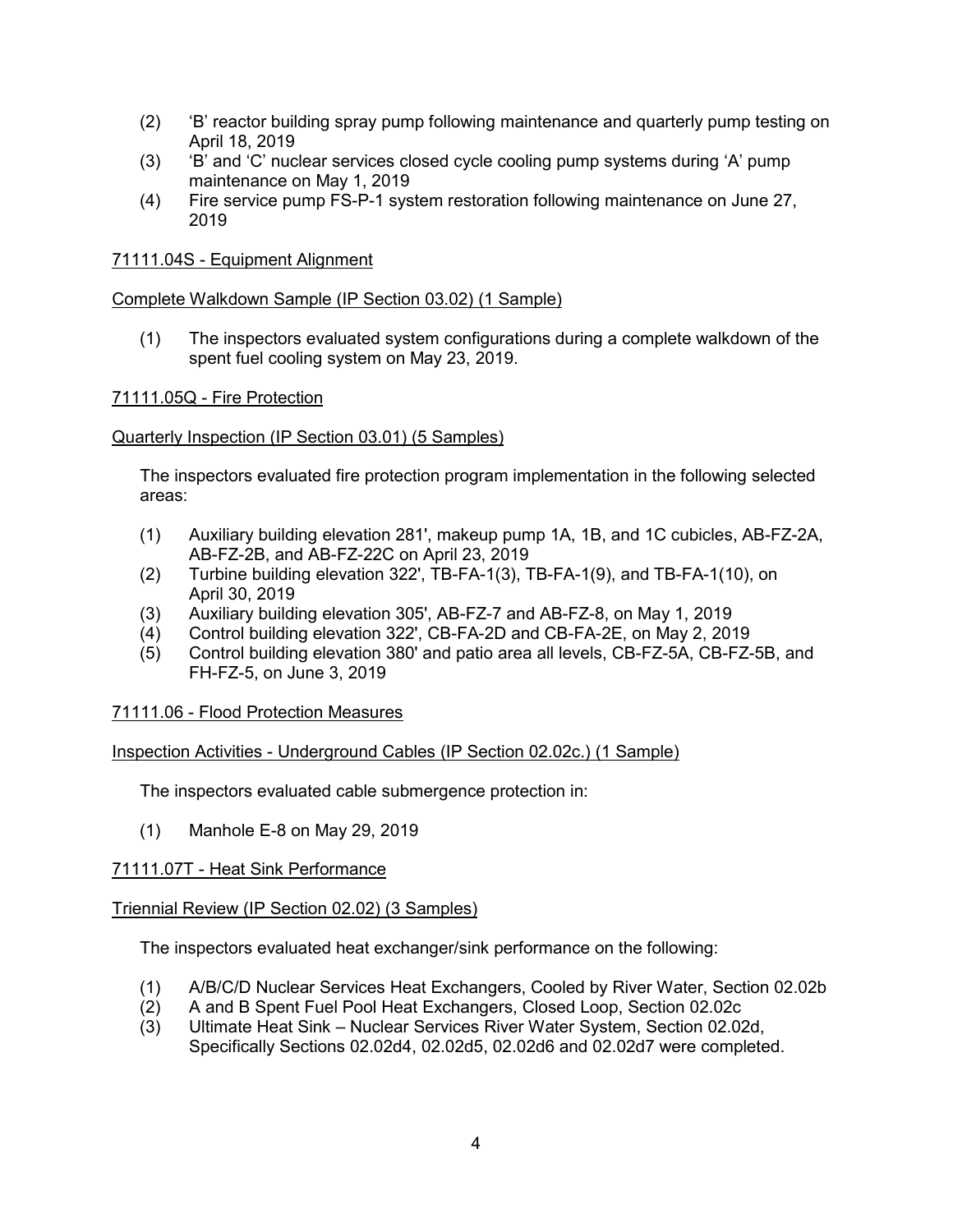- (2) 'B' reactor building spray pump following maintenance and quarterly pump testing on April 18, 2019
- (3) 'B' and 'C' nuclear services closed cycle cooling pump systems during 'A' pump maintenance on May 1, 2019
- (4) Fire service pump FS-P-1 system restoration following maintenance on June 27, 2019

## 71111.04S - Equipment Alignment

## Complete Walkdown Sample (IP Section 03.02) (1 Sample)

(1) The inspectors evaluated system configurations during a complete walkdown of the spent fuel cooling system on May 23, 2019.

## 71111.05Q - Fire Protection

## Quarterly Inspection (IP Section 03.01) (5 Samples)

The inspectors evaluated fire protection program implementation in the following selected areas:

- (1) Auxiliary building elevation 281', makeup pump 1A, 1B, and 1C cubicles, AB-FZ-2A, AB-FZ-2B, and AB-FZ-22C on April 23, 2019
- (2) Turbine building elevation 322', TB-FA-1(3), TB-FA-1(9), and TB-FA-1(10), on April 30, 2019
- (3) Auxiliary building elevation 305', AB-FZ-7 and AB-FZ-8, on May 1, 2019
- (4) Control building elevation 322', CB-FA-2D and CB-FA-2E, on May 2, 2019
- (5) Control building elevation 380' and patio area all levels, CB-FZ-5A, CB-FZ-5B, and FH-FZ-5, on June 3, 2019

#### 71111.06 - Flood Protection Measures

#### Inspection Activities - Underground Cables (IP Section 02.02c.) (1 Sample)

The inspectors evaluated cable submergence protection in:

(1) Manhole E-8 on May 29, 2019

#### 71111.07T - Heat Sink Performance

#### Triennial Review (IP Section 02.02) (3 Samples)

The inspectors evaluated heat exchanger/sink performance on the following:

- (1) A/B/C/D Nuclear Services Heat Exchangers, Cooled by River Water, Section 02.02b
- (2) A and B Spent Fuel Pool Heat Exchangers, Closed Loop, Section 02.02c
- (3) Ultimate Heat Sink Nuclear Services River Water System, Section 02.02d, Specifically Sections 02.02d4, 02.02d5, 02.02d6 and 02.02d7 were completed.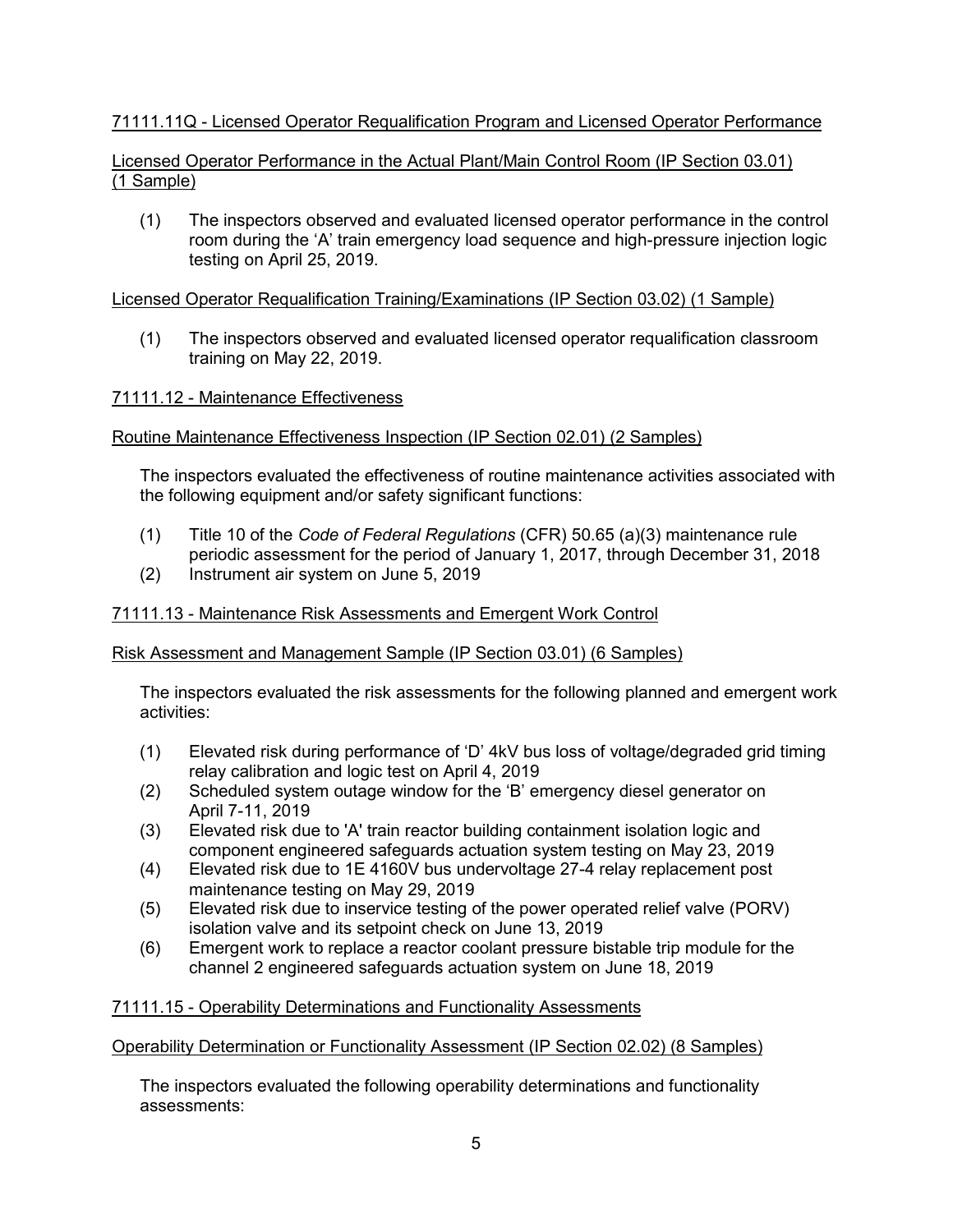# 71111.11Q - Licensed Operator Requalification Program and Licensed Operator Performance

# Licensed Operator Performance in the Actual Plant/Main Control Room (IP Section 03.01) (1 Sample)

(1) The inspectors observed and evaluated licensed operator performance in the control room during the 'A' train emergency load sequence and high-pressure injection logic testing on April 25, 2019.

# Licensed Operator Requalification Training/Examinations (IP Section 03.02) (1 Sample)

(1) The inspectors observed and evaluated licensed operator requalification classroom training on May 22, 2019.

# 71111.12 - Maintenance Effectiveness

# Routine Maintenance Effectiveness Inspection (IP Section 02.01) (2 Samples)

The inspectors evaluated the effectiveness of routine maintenance activities associated with the following equipment and/or safety significant functions:

- (1) Title 10 of the *Code of Federal Regulations* (CFR) 50.65 (a)(3) maintenance rule periodic assessment for the period of January 1, 2017, through December 31, 2018
- (2) Instrument air system on June 5, 2019

# 71111.13 - Maintenance Risk Assessments and Emergent Work Control

# Risk Assessment and Management Sample (IP Section 03.01) (6 Samples)

The inspectors evaluated the risk assessments for the following planned and emergent work activities:

- (1) Elevated risk during performance of 'D' 4kV bus loss of voltage/degraded grid timing relay calibration and logic test on April 4, 2019
- (2) Scheduled system outage window for the 'B' emergency diesel generator on April 7-11, 2019
- (3) Elevated risk due to 'A' train reactor building containment isolation logic and component engineered safeguards actuation system testing on May 23, 2019
- (4) Elevated risk due to 1E 4160V bus undervoltage 27-4 relay replacement post maintenance testing on May 29, 2019
- (5) Elevated risk due to inservice testing of the power operated relief valve (PORV) isolation valve and its setpoint check on June 13, 2019
- (6) Emergent work to replace a reactor coolant pressure bistable trip module for the channel 2 engineered safeguards actuation system on June 18, 2019

# 71111.15 - Operability Determinations and Functionality Assessments

# Operability Determination or Functionality Assessment (IP Section 02.02) (8 Samples)

The inspectors evaluated the following operability determinations and functionality assessments: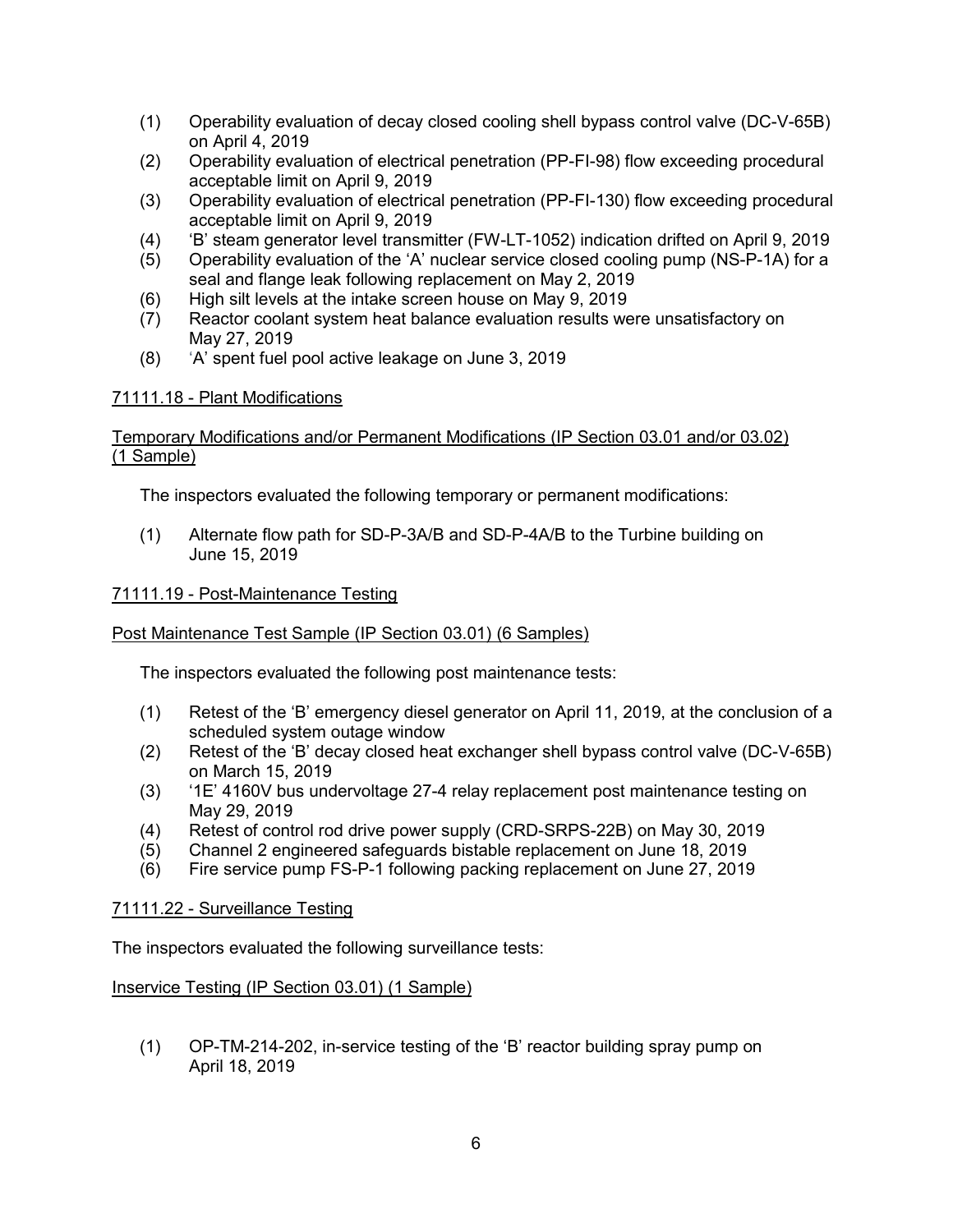- (1) Operability evaluation of decay closed cooling shell bypass control valve (DC-V-65B) on April 4, 2019
- (2) Operability evaluation of electrical penetration (PP-FI-98) flow exceeding procedural acceptable limit on April 9, 2019
- (3) Operability evaluation of electrical penetration (PP-FI-130) flow exceeding procedural acceptable limit on April 9, 2019
- (4) 'B' steam generator level transmitter (FW-LT-1052) indication drifted on April 9, 2019
- (5) Operability evaluation of the 'A' nuclear service closed cooling pump (NS-P-1A) for a seal and flange leak following replacement on May 2, 2019
- (6) High silt levels at the intake screen house on May 9, 2019
- (7) Reactor coolant system heat balance evaluation results were unsatisfactory on May 27, 2019
- (8) 'A' spent fuel pool active leakage on June 3, 2019

## 71111.18 - Plant Modifications

## Temporary Modifications and/or Permanent Modifications (IP Section 03.01 and/or 03.02) (1 Sample)

The inspectors evaluated the following temporary or permanent modifications:

(1) Alternate flow path for SD-P-3A/B and SD-P-4A/B to the Turbine building on June 15, 2019

## 71111.19 - Post-Maintenance Testing

# Post Maintenance Test Sample (IP Section 03.01) (6 Samples)

The inspectors evaluated the following post maintenance tests:

- (1) Retest of the 'B' emergency diesel generator on April 11, 2019, at the conclusion of a scheduled system outage window
- (2) Retest of the 'B' decay closed heat exchanger shell bypass control valve (DC-V-65B) on March 15, 2019
- (3) '1E' 4160V bus undervoltage 27-4 relay replacement post maintenance testing on May 29, 2019
- (4) Retest of control rod drive power supply (CRD-SRPS-22B) on May 30, 2019
- (5) Channel 2 engineered safeguards bistable replacement on June 18, 2019
- (6) Fire service pump FS-P-1 following packing replacement on June 27, 2019

#### 71111.22 - Surveillance Testing

The inspectors evaluated the following surveillance tests:

#### Inservice Testing (IP Section 03.01) (1 Sample)

(1) OP-TM-214-202, in-service testing of the 'B' reactor building spray pump on April 18, 2019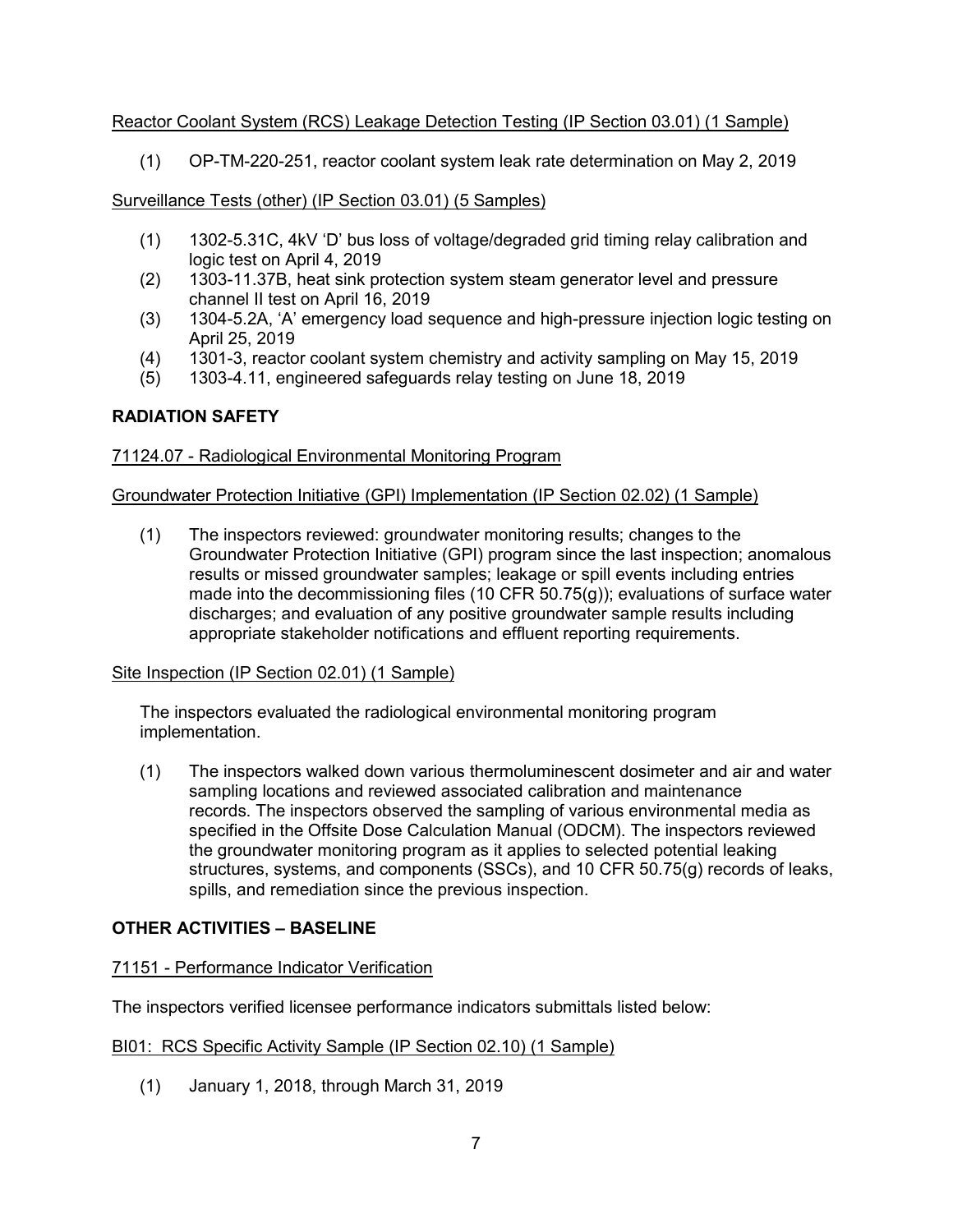# Reactor Coolant System (RCS) Leakage Detection Testing (IP Section 03.01) (1 Sample)

(1) OP-TM-220-251, reactor coolant system leak rate determination on May 2, 2019

# Surveillance Tests (other) (IP Section 03.01) (5 Samples)

- (1) 1302-5.31C, 4kV 'D' bus loss of voltage/degraded grid timing relay calibration and logic test on April 4, 2019
- (2) 1303-11.37B, heat sink protection system steam generator level and pressure channel II test on April 16, 2019
- (3) 1304-5.2A, 'A' emergency load sequence and high-pressure injection logic testing on April 25, 2019
- (4) 1301-3, reactor coolant system chemistry and activity sampling on May 15, 2019
- (5) 1303-4.11, engineered safeguards relay testing on June 18, 2019

# **RADIATION SAFETY**

# 71124.07 - Radiological Environmental Monitoring Program

## Groundwater Protection Initiative (GPI) Implementation (IP Section 02.02) (1 Sample)

(1) The inspectors reviewed: groundwater monitoring results; changes to the Groundwater Protection Initiative (GPI) program since the last inspection; anomalous results or missed groundwater samples; leakage or spill events including entries made into the decommissioning files (10 CFR 50.75(g)); evaluations of surface water discharges; and evaluation of any positive groundwater sample results including appropriate stakeholder notifications and effluent reporting requirements.

#### Site Inspection (IP Section 02.01) (1 Sample)

The inspectors evaluated the radiological environmental monitoring program implementation.

(1) The inspectors walked down various thermoluminescent dosimeter and air and water sampling locations and reviewed associated calibration and maintenance records. The inspectors observed the sampling of various environmental media as specified in the Offsite Dose Calculation Manual (ODCM). The inspectors reviewed the groundwater monitoring program as it applies to selected potential leaking structures, systems, and components (SSCs), and 10 CFR 50.75(g) records of leaks, spills, and remediation since the previous inspection.

# **OTHER ACTIVITIES – BASELINE**

# 71151 - Performance Indicator Verification

The inspectors verified licensee performance indicators submittals listed below:

#### BI01: RCS Specific Activity Sample (IP Section 02.10) (1 Sample)

(1) January 1, 2018, through March 31, 2019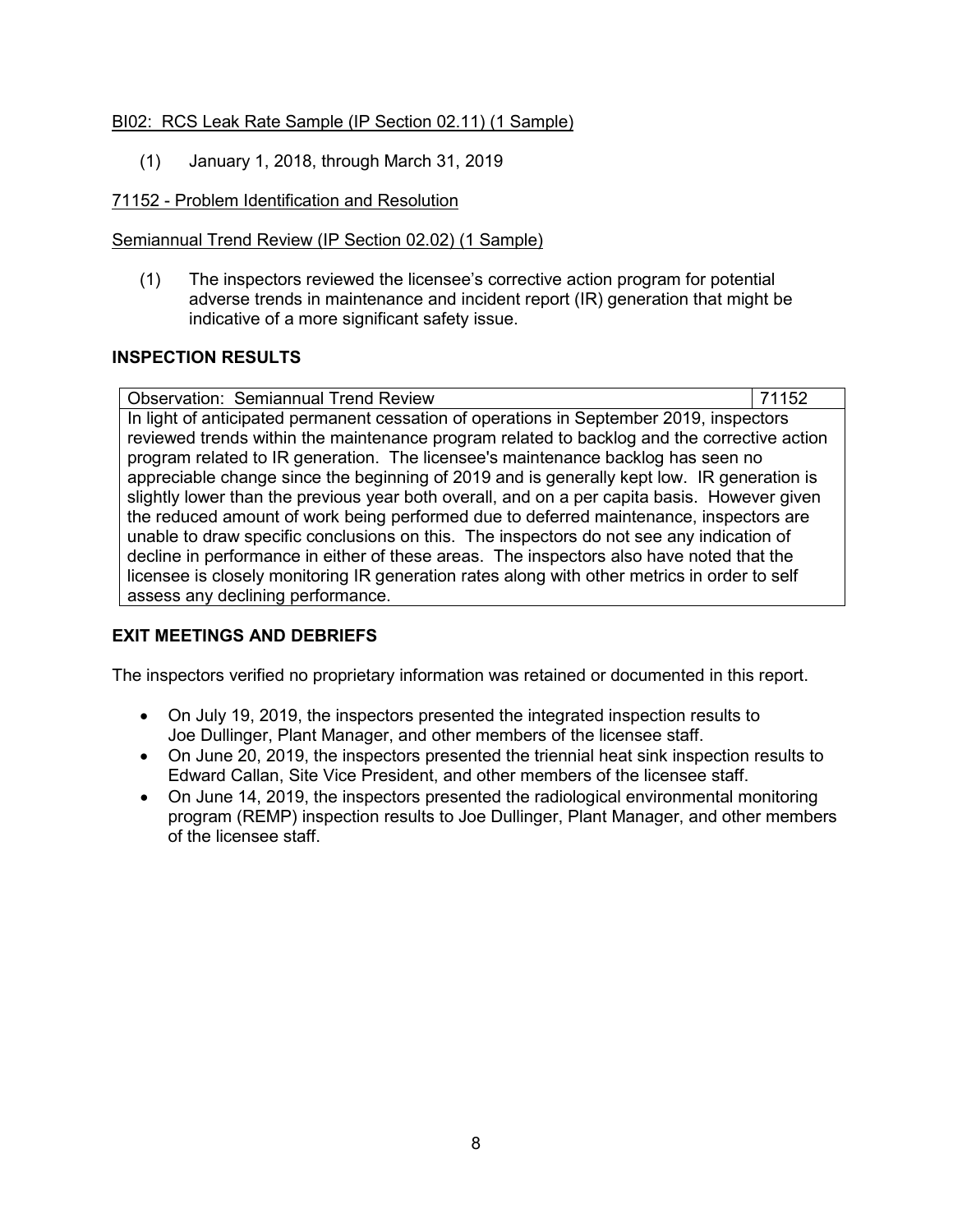# BI02: RCS Leak Rate Sample (IP Section 02.11) (1 Sample)

(1) January 1, 2018, through March 31, 2019

# 71152 - Problem Identification and Resolution

# Semiannual Trend Review (IP Section 02.02) (1 Sample)

(1) The inspectors reviewed the licensee's corrective action program for potential adverse trends in maintenance and incident report (IR) generation that might be indicative of a more significant safety issue.

# **INSPECTION RESULTS**

Observation: Semiannual Trend Review 71152 In light of anticipated permanent cessation of operations in September 2019, inspectors reviewed trends within the maintenance program related to backlog and the corrective action program related to IR generation. The licensee's maintenance backlog has seen no appreciable change since the beginning of 2019 and is generally kept low. IR generation is slightly lower than the previous year both overall, and on a per capita basis. However given the reduced amount of work being performed due to deferred maintenance, inspectors are unable to draw specific conclusions on this. The inspectors do not see any indication of decline in performance in either of these areas. The inspectors also have noted that the licensee is closely monitoring IR generation rates along with other metrics in order to self assess any declining performance.

# **EXIT MEETINGS AND DEBRIEFS**

The inspectors verified no proprietary information was retained or documented in this report.

- On July 19, 2019, the inspectors presented the integrated inspection results to Joe Dullinger, Plant Manager, and other members of the licensee staff.
- On June 20, 2019, the inspectors presented the triennial heat sink inspection results to Edward Callan, Site Vice President, and other members of the licensee staff.
- On June 14, 2019, the inspectors presented the radiological environmental monitoring program (REMP) inspection results to Joe Dullinger, Plant Manager, and other members of the licensee staff.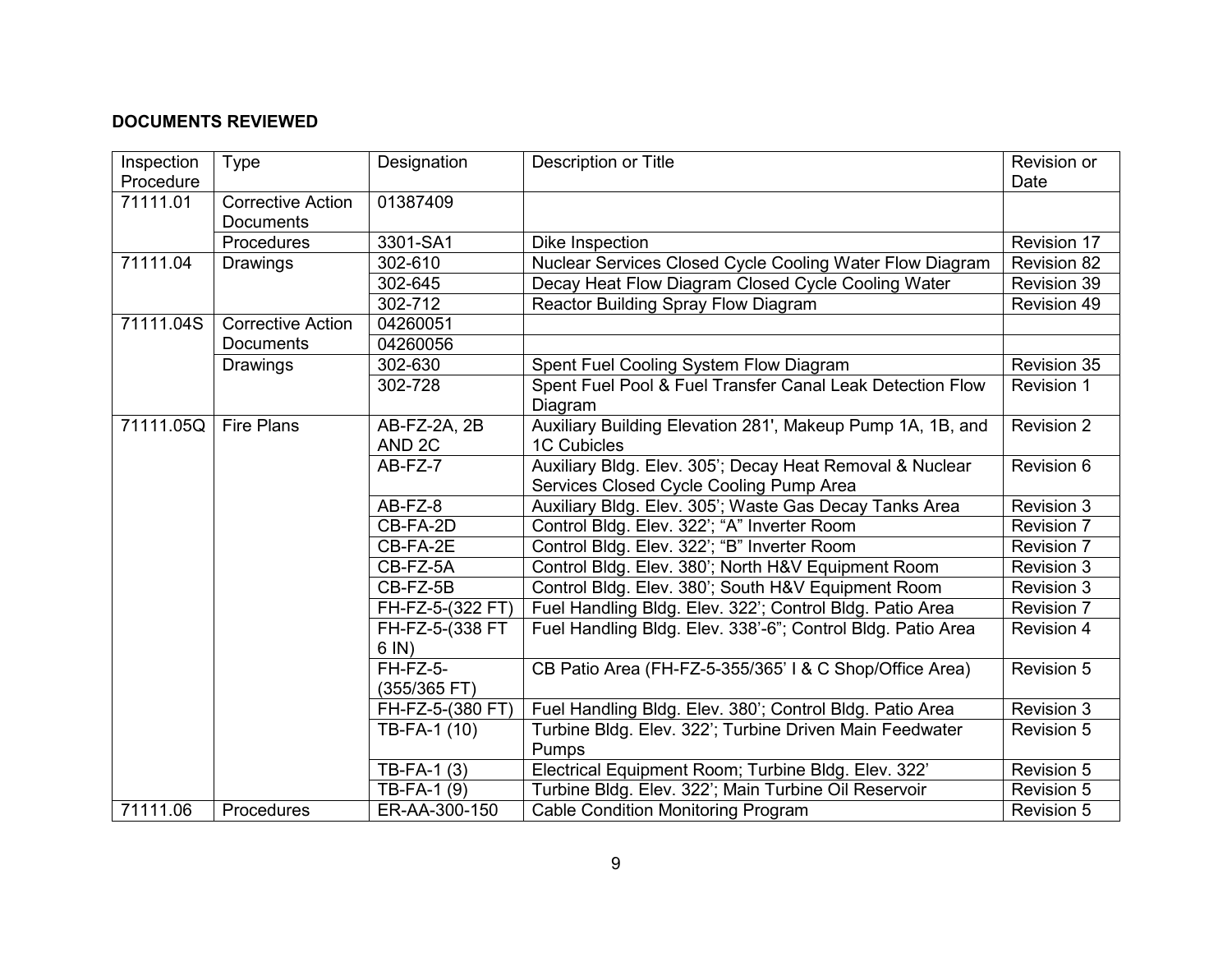# **DOCUMENTS REVIEWED**

| Inspection | Type                                         | Designation                       | <b>Description or Title</b>                                                                         | Revision or       |
|------------|----------------------------------------------|-----------------------------------|-----------------------------------------------------------------------------------------------------|-------------------|
| Procedure  |                                              |                                   |                                                                                                     | Date              |
| 71111.01   | <b>Corrective Action</b><br><b>Documents</b> | 01387409                          |                                                                                                     |                   |
|            | Procedures                                   | 3301-SA1                          | Dike Inspection                                                                                     | Revision 17       |
| 71111.04   | Drawings                                     | 302-610                           | Nuclear Services Closed Cycle Cooling Water Flow Diagram                                            | Revision 82       |
|            |                                              | 302-645                           | Decay Heat Flow Diagram Closed Cycle Cooling Water                                                  | Revision 39       |
|            |                                              | 302-712                           | Reactor Building Spray Flow Diagram                                                                 | Revision 49       |
| 71111.04S  | <b>Corrective Action</b>                     | 04260051                          |                                                                                                     |                   |
|            | Documents                                    | 04260056                          |                                                                                                     |                   |
|            | Drawings                                     | 302-630                           | Spent Fuel Cooling System Flow Diagram                                                              | Revision 35       |
|            |                                              | 302-728                           | Spent Fuel Pool & Fuel Transfer Canal Leak Detection Flow                                           | Revision 1        |
|            |                                              |                                   | Diagram                                                                                             |                   |
| 71111.05Q  | <b>Fire Plans</b>                            | AB-FZ-2A, 2B<br>AND <sub>2C</sub> | Auxiliary Building Elevation 281', Makeup Pump 1A, 1B, and<br><b>1C Cubicles</b>                    | <b>Revision 2</b> |
|            |                                              |                                   |                                                                                                     |                   |
|            |                                              | $AB-FZ-7$                         | Auxiliary Bldg. Elev. 305'; Decay Heat Removal & Nuclear<br>Services Closed Cycle Cooling Pump Area | Revision 6        |
|            |                                              | AB-FZ-8                           | Auxiliary Bldg. Elev. 305'; Waste Gas Decay Tanks Area                                              | Revision 3        |
|            |                                              | CB-FA-2D                          | Control Bldg. Elev. 322'; "A" Inverter Room                                                         | <b>Revision 7</b> |
|            |                                              | CB-FA-2E                          | Control Bldg. Elev. 322'; "B" Inverter Room                                                         | <b>Revision 7</b> |
|            |                                              | CB-FZ-5A                          | Control Bldg. Elev. 380'; North H&V Equipment Room                                                  | Revision 3        |
|            |                                              | CB-FZ-5B                          | Control Bldg. Elev. 380'; South H&V Equipment Room                                                  | <b>Revision 3</b> |
|            |                                              | FH-FZ-5-(322 FT)                  | Fuel Handling Bldg. Elev. 322'; Control Bldg. Patio Area                                            | <b>Revision 7</b> |
|            |                                              | FH-FZ-5-(338 FT                   | Fuel Handling Bldg. Elev. 338'-6"; Control Bldg. Patio Area                                         | <b>Revision 4</b> |
|            |                                              | $6 \text{ IN}$ )                  |                                                                                                     |                   |
|            |                                              | FH-FZ-5-                          | CB Patio Area (FH-FZ-5-355/365' I & C Shop/Office Area)                                             | Revision 5        |
|            |                                              | (355/365 FT)                      |                                                                                                     |                   |
|            |                                              | FH-FZ-5-(380 FT)                  | Fuel Handling Bldg. Elev. 380'; Control Bldg. Patio Area                                            | <b>Revision 3</b> |
|            |                                              | TB-FA-1 (10)                      | Turbine Bldg. Elev. 322'; Turbine Driven Main Feedwater                                             | Revision 5        |
|            |                                              |                                   | Pumps                                                                                               |                   |
|            |                                              | TB-FA-1 $(3)$                     | Electrical Equipment Room; Turbine Bldg. Elev. 322'                                                 | <b>Revision 5</b> |
|            |                                              | TB-FA-1 (9)                       | Turbine Bldg. Elev. 322'; Main Turbine Oil Reservoir                                                | <b>Revision 5</b> |
| 71111.06   | Procedures                                   | ER-AA-300-150                     | <b>Cable Condition Monitoring Program</b>                                                           | <b>Revision 5</b> |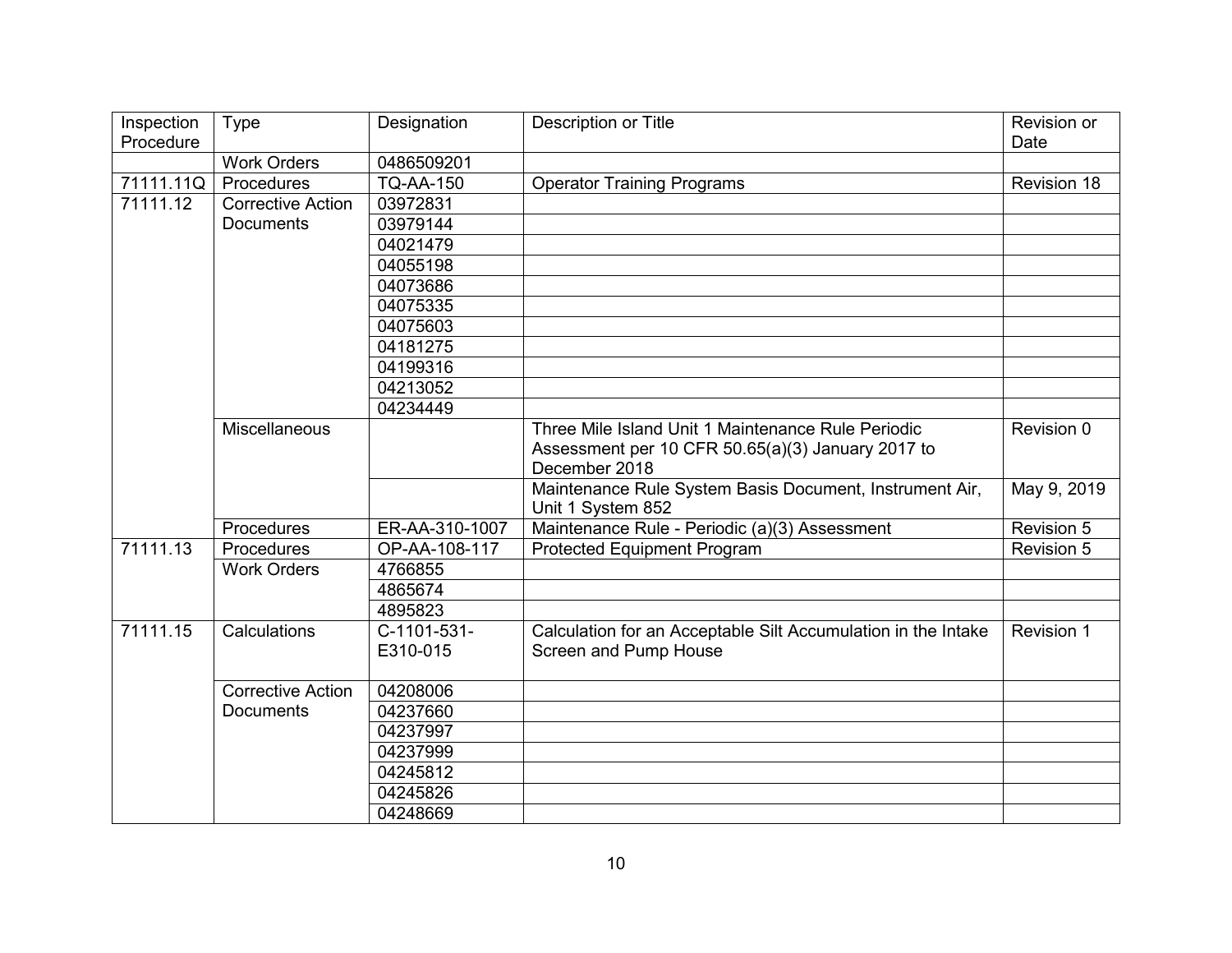| Inspection | Type                     | Designation      | Description or Title                                          | Revision or       |
|------------|--------------------------|------------------|---------------------------------------------------------------|-------------------|
| Procedure  |                          |                  |                                                               | Date              |
|            | <b>Work Orders</b>       | 0486509201       |                                                               |                   |
| 71111.11Q  | Procedures               | <b>TQ-AA-150</b> | <b>Operator Training Programs</b>                             | Revision 18       |
| 71111.12   | <b>Corrective Action</b> | 03972831         |                                                               |                   |
|            | <b>Documents</b>         | 03979144         |                                                               |                   |
|            |                          | 04021479         |                                                               |                   |
|            |                          | 04055198         |                                                               |                   |
|            |                          | 04073686         |                                                               |                   |
|            |                          | 04075335         |                                                               |                   |
|            |                          | 04075603         |                                                               |                   |
|            |                          | 04181275         |                                                               |                   |
|            |                          | 04199316         |                                                               |                   |
|            |                          | 04213052         |                                                               |                   |
|            |                          | 04234449         |                                                               |                   |
|            | Miscellaneous            |                  | Three Mile Island Unit 1 Maintenance Rule Periodic            | Revision 0        |
|            |                          |                  | Assessment per 10 CFR 50.65(a)(3) January 2017 to             |                   |
|            |                          |                  | December 2018                                                 |                   |
|            |                          |                  | Maintenance Rule System Basis Document, Instrument Air,       | May 9, 2019       |
|            |                          |                  | Unit 1 System 852                                             |                   |
|            | Procedures               | ER-AA-310-1007   | Maintenance Rule - Periodic (a)(3) Assessment                 | Revision 5        |
| 71111.13   | Procedures               | OP-AA-108-117    | <b>Protected Equipment Program</b>                            | <b>Revision 5</b> |
|            | <b>Work Orders</b>       | 4766855          |                                                               |                   |
|            |                          | 4865674          |                                                               |                   |
|            |                          | 4895823          |                                                               |                   |
| 71111.15   | Calculations             | C-1101-531-      | Calculation for an Acceptable Silt Accumulation in the Intake | Revision 1        |
|            |                          | E310-015         | Screen and Pump House                                         |                   |
|            |                          |                  |                                                               |                   |
|            | <b>Corrective Action</b> | 04208006         |                                                               |                   |
|            | <b>Documents</b>         | 04237660         |                                                               |                   |
|            |                          | 04237997         |                                                               |                   |
|            |                          | 04237999         |                                                               |                   |
|            |                          | 04245812         |                                                               |                   |
|            |                          | 04245826         |                                                               |                   |
|            |                          | 04248669         |                                                               |                   |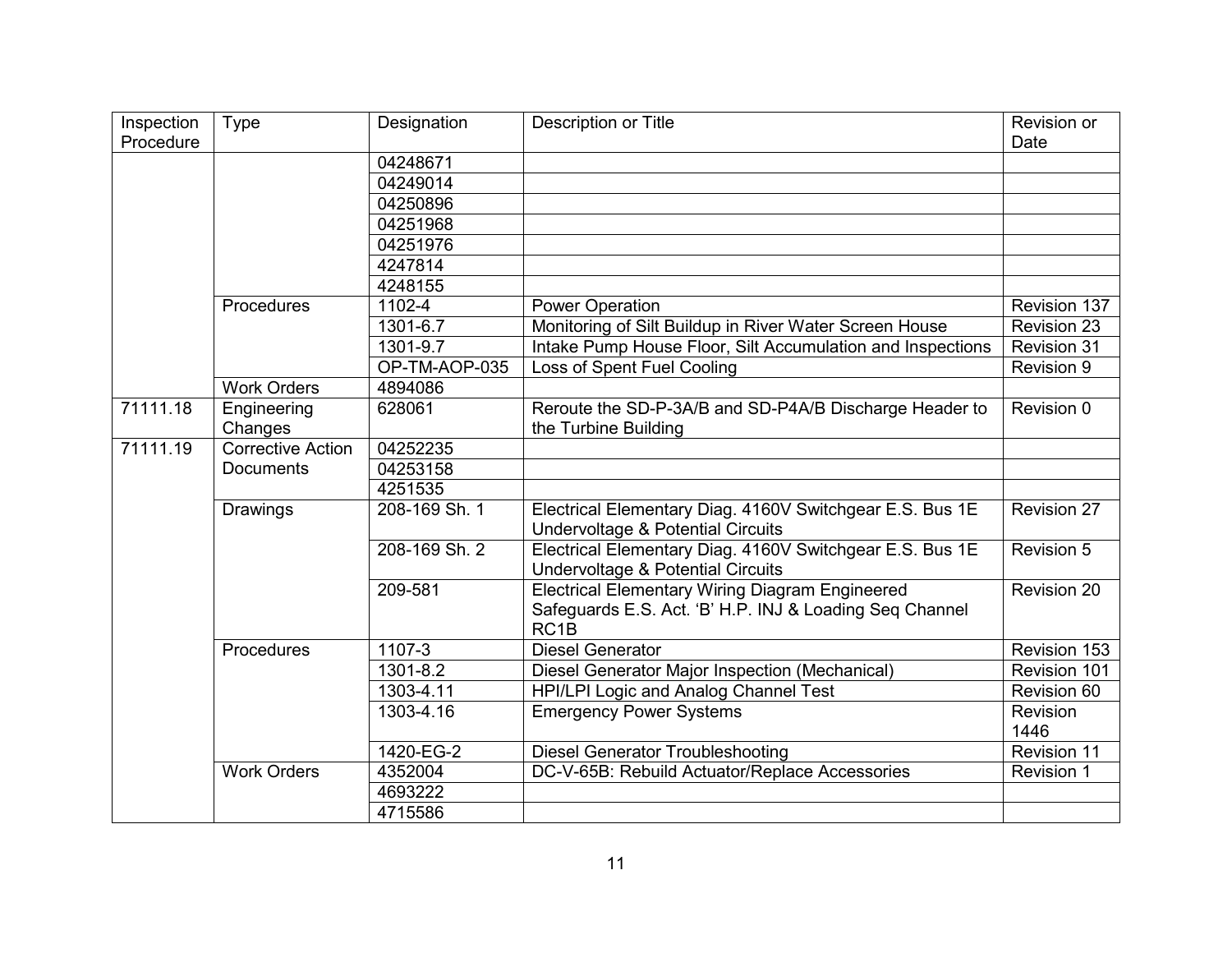| Inspection | Type                     | Designation   | Description or Title                                                                                                                  | Revision or        |
|------------|--------------------------|---------------|---------------------------------------------------------------------------------------------------------------------------------------|--------------------|
| Procedure  |                          |               |                                                                                                                                       | Date               |
|            |                          | 04248671      |                                                                                                                                       |                    |
|            |                          | 04249014      |                                                                                                                                       |                    |
|            |                          | 04250896      |                                                                                                                                       |                    |
|            |                          | 04251968      |                                                                                                                                       |                    |
|            |                          | 04251976      |                                                                                                                                       |                    |
|            |                          | 4247814       |                                                                                                                                       |                    |
|            |                          | 4248155       |                                                                                                                                       |                    |
|            | Procedures               | 1102-4        | <b>Power Operation</b>                                                                                                                | Revision 137       |
|            |                          | 1301-6.7      | Monitoring of Silt Buildup in River Water Screen House                                                                                | Revision 23        |
|            |                          | 1301-9.7      | Intake Pump House Floor, Silt Accumulation and Inspections                                                                            | <b>Revision 31</b> |
|            |                          | OP-TM-AOP-035 | Loss of Spent Fuel Cooling                                                                                                            | Revision 9         |
|            | <b>Work Orders</b>       | 4894086       |                                                                                                                                       |                    |
| 71111.18   | Engineering              | 628061        | Reroute the SD-P-3A/B and SD-P4A/B Discharge Header to                                                                                | Revision 0         |
|            | Changes                  |               | the Turbine Building                                                                                                                  |                    |
| 71111.19   | <b>Corrective Action</b> | 04252235      |                                                                                                                                       |                    |
|            | <b>Documents</b>         | 04253158      |                                                                                                                                       |                    |
|            |                          | 4251535       |                                                                                                                                       |                    |
|            | Drawings                 | 208-169 Sh. 1 | Electrical Elementary Diag. 4160V Switchgear E.S. Bus 1E<br><b>Undervoltage &amp; Potential Circuits</b>                              | <b>Revision 27</b> |
|            |                          | 208-169 Sh. 2 | Electrical Elementary Diag. 4160V Switchgear E.S. Bus 1E<br><b>Undervoltage &amp; Potential Circuits</b>                              | Revision 5         |
|            |                          | 209-581       | <b>Electrical Elementary Wiring Diagram Engineered</b><br>Safeguards E.S. Act. 'B' H.P. INJ & Loading Seq Channel<br>RC <sub>1B</sub> | Revision 20        |
|            | Procedures               | 1107-3        | <b>Diesel Generator</b>                                                                                                               | Revision 153       |
|            |                          | $1301 - 8.2$  | Diesel Generator Major Inspection (Mechanical)                                                                                        | Revision 101       |
|            |                          | 1303-4.11     | HPI/LPI Logic and Analog Channel Test                                                                                                 | Revision 60        |
|            |                          | 1303-4.16     | <b>Emergency Power Systems</b>                                                                                                        | Revision<br>1446   |
|            |                          | 1420-EG-2     | <b>Diesel Generator Troubleshooting</b>                                                                                               | Revision 11        |
|            | <b>Work Orders</b>       | 4352004       | DC-V-65B: Rebuild Actuator/Replace Accessories                                                                                        | Revision 1         |
|            |                          | 4693222       |                                                                                                                                       |                    |
|            |                          | 4715586       |                                                                                                                                       |                    |